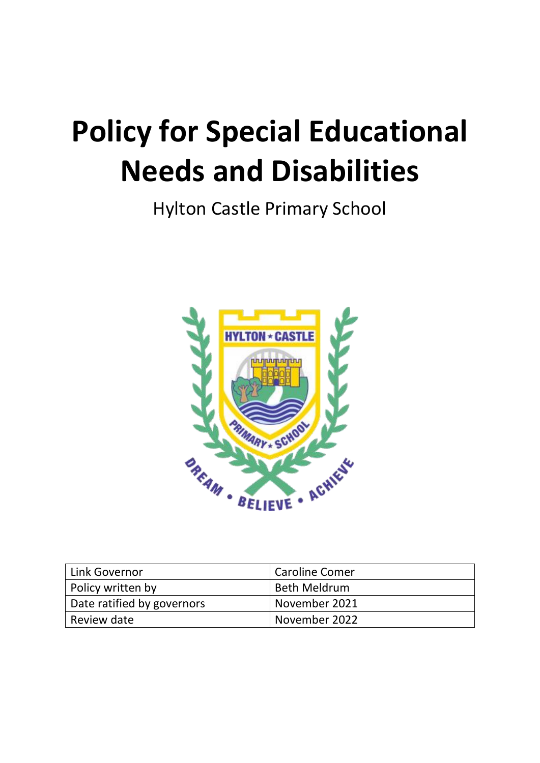# **Policy for Special Educational Needs and Disabilities**

Hylton Castle Primary School



| Link Governor              | Caroline Comer |
|----------------------------|----------------|
| Policy written by          | Beth Meldrum   |
| Date ratified by governors | November 2021  |
| Review date                | November 2022  |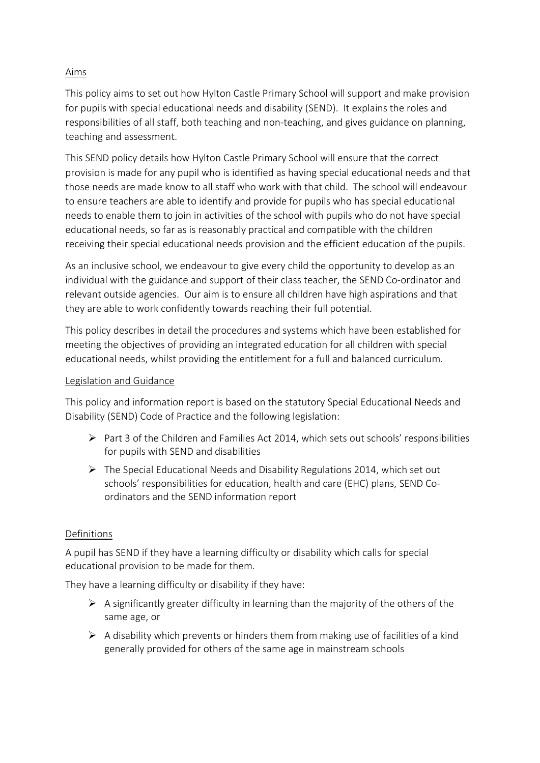# Aims

This policy aims to set out how Hylton Castle Primary School will support and make provision for pupils with special educational needs and disability (SEND). It explains the roles and responsibilities of all staff, both teaching and non-teaching, and gives guidance on planning, teaching and assessment.

This SEND policy details how Hylton Castle Primary School will ensure that the correct provision is made for any pupil who is identified as having special educational needs and that those needs are made know to all staff who work with that child. The school will endeavour to ensure teachers are able to identify and provide for pupils who has special educational needs to enable them to join in activities of the school with pupils who do not have special educational needs, so far as is reasonably practical and compatible with the children receiving their special educational needs provision and the efficient education of the pupils.

As an inclusive school, we endeavour to give every child the opportunity to develop as an individual with the guidance and support of their class teacher, the SEND Co-ordinator and relevant outside agencies. Our aim is to ensure all children have high aspirations and that they are able to work confidently towards reaching their full potential.

This policy describes in detail the procedures and systems which have been established for meeting the objectives of providing an integrated education for all children with special educational needs, whilst providing the entitlement for a full and balanced curriculum.

#### Legislation and Guidance

This policy and information report is based on the statutory [Special Educational Needs and](https://www.gov.uk/government/uploads/system/uploads/attachment_data/file/398815/SEND_Code_of_Practice_January_2015.pdf)  [Disability \(SEND\) Code of Practice](https://www.gov.uk/government/uploads/system/uploads/attachment_data/file/398815/SEND_Code_of_Practice_January_2015.pdf) and the following legislation:

- $\triangleright$  [Part 3 of the Children and Families Act 2014](http://www.legislation.gov.uk/ukpga/2014/6/part/3), which sets out schools' responsibilities for pupils with SEND and disabilities
- ➢ [The Special Educational Needs and Disability Regulations 2014,](http://www.legislation.gov.uk/uksi/2014/1530/contents/made) which set out schools' responsibilities for education, health and care (EHC) plans, SEND Coordinators and the SEND information report

#### Definitions

A pupil has SEND if they have a learning difficulty or disability which calls for special educational provision to be made for them.

They have a learning difficulty or disability if they have:

- $\triangleright$  A significantly greater difficulty in learning than the majority of the others of the same age, or
- $\triangleright$  A disability which prevents or hinders them from making use of facilities of a kind generally provided for others of the same age in mainstream schools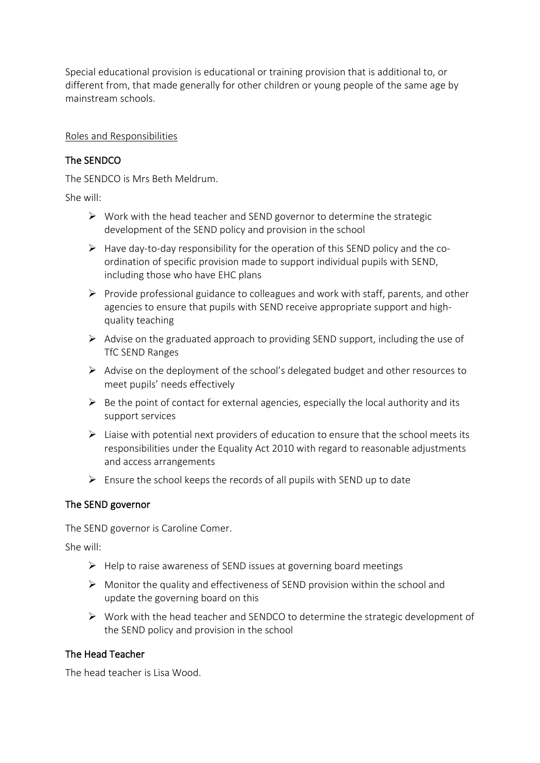Special educational provision is educational or training provision that is additional to, or different from, that made generally for other children or young people of the same age by mainstream schools.

#### Roles and Responsibilities

# The SENDCO

The SENDCO is Mrs Beth Meldrum.

She will:

- $\triangleright$  Work with the head teacher and SEND governor to determine the strategic development of the SEND policy and provision in the school
- $\triangleright$  Have day-to-day responsibility for the operation of this SEND policy and the coordination of specific provision made to support individual pupils with SEND, including those who have EHC plans
- ➢ Provide professional guidance to colleagues and work with staff, parents, and other agencies to ensure that pupils with SEND receive appropriate support and highquality teaching
- ➢ Advise on the graduated approach to providing SEND support, including the use of TfC SEND Ranges
- ➢ Advise on the deployment of the school's delegated budget and other resources to meet pupils' needs effectively
- $\triangleright$  Be the point of contact for external agencies, especially the local authority and its support services
- $\triangleright$  Liaise with potential next providers of education to ensure that the school meets its responsibilities under the Equality Act 2010 with regard to reasonable adjustments and access arrangements
- ➢ Ensure the school keeps the records of all pupils with SEND up to date

#### The SEND governor

The SEND governor is Caroline Comer.

She will:

- ➢ Help to raise awareness of SEND issues at governing board meetings
- ➢ Monitor the quality and effectiveness of SEND provision within the school and update the governing board on this
- ➢ Work with the head teacher and SENDCO to determine the strategic development of the SEND policy and provision in the school

#### The Head Teacher

The head teacher is Lisa Wood.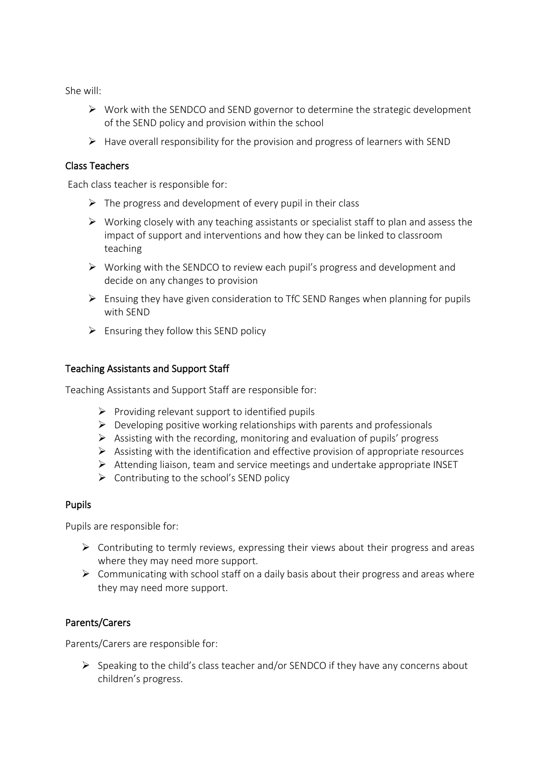She will:

- ➢ Work with the SENDCO and SEND governor to determine the strategic development of the SEND policy and provision within the school
- ➢ Have overall responsibility for the provision and progress of learners with SEND

#### Class Teachers

Each class teacher is responsible for:

- $\triangleright$  The progress and development of every pupil in their class
- ➢ Working closely with any teaching assistants or specialist staff to plan and assess the impact of support and interventions and how they can be linked to classroom teaching
- ➢ Working with the SENDCO to review each pupil's progress and development and decide on any changes to provision
- ➢ Ensuing they have given consideration to TfC SEND Ranges when planning for pupils with SEND
- $\triangleright$  Ensuring they follow this SEND policy

#### Teaching Assistants and Support Staff

Teaching Assistants and Support Staff are responsible for:

- $\triangleright$  Providing relevant support to identified pupils
- $\triangleright$  Developing positive working relationships with parents and professionals
- $\triangleright$  Assisting with the recording, monitoring and evaluation of pupils' progress
- $\triangleright$  Assisting with the identification and effective provision of appropriate resources
- ➢ Attending liaison, team and service meetings and undertake appropriate INSET
- $\triangleright$  Contributing to the school's SEND policy

#### Pupils

Pupils are responsible for:

- ➢ Contributing to termly reviews, expressing their views about their progress and areas where they may need more support.
- ➢ Communicating with school staff on a daily basis about their progress and areas where they may need more support.

#### Parents/Carers

Parents/Carers are responsible for:

➢ Speaking to the child's class teacher and/or SENDCO if they have any concerns about children's progress.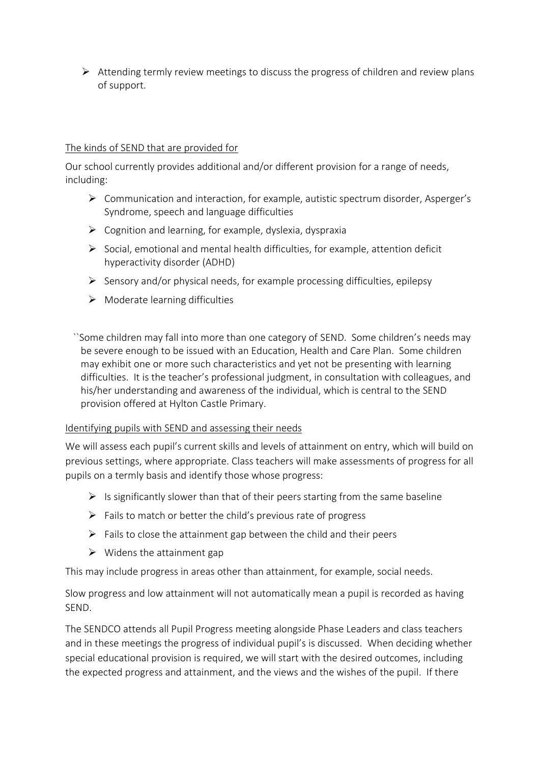$\triangleright$  Attending termly review meetings to discuss the progress of children and review plans of support.

#### The kinds of SEND that are provided for

Our school currently provides additional and/or different provision for a range of needs, including:

- ➢ Communication and interaction, for example, autistic spectrum disorder, Asperger's Syndrome, speech and language difficulties
- $\triangleright$  Cognition and learning, for example, dyslexia, dyspraxia
- $\triangleright$  Social, emotional and mental health difficulties, for example, attention deficit hyperactivity disorder (ADHD)
- $\triangleright$  Sensory and/or physical needs, for example processing difficulties, epilepsy
- $\triangleright$  Moderate learning difficulties

``Some children may fall into more than one category of SEND. Some children's needs may be severe enough to be issued with an Education, Health and Care Plan. Some children may exhibit one or more such characteristics and yet not be presenting with learning difficulties. It is the teacher's professional judgment, in consultation with colleagues, and his/her understanding and awareness of the individual, which is central to the SEND provision offered at Hylton Castle Primary.

#### Identifying pupils with SEND and assessing their needs

We will assess each pupil's current skills and levels of attainment on entry, which will build on previous settings, where appropriate. Class teachers will make assessments of progress for all pupils on a termly basis and identify those whose progress:

- $\triangleright$  Is significantly slower than that of their peers starting from the same baseline
- $\triangleright$  Fails to match or better the child's previous rate of progress
- $\triangleright$  Fails to close the attainment gap between the child and their peers
- $\triangleright$  Widens the attainment gap

This may include progress in areas other than attainment, for example, social needs.

Slow progress and low attainment will not automatically mean a pupil is recorded as having SEND.

The SENDCO attends all Pupil Progress meeting alongside Phase Leaders and class teachers and in these meetings the progress of individual pupil's is discussed. When deciding whether special educational provision is required, we will start with the desired outcomes, including the expected progress and attainment, and the views and the wishes of the pupil. If there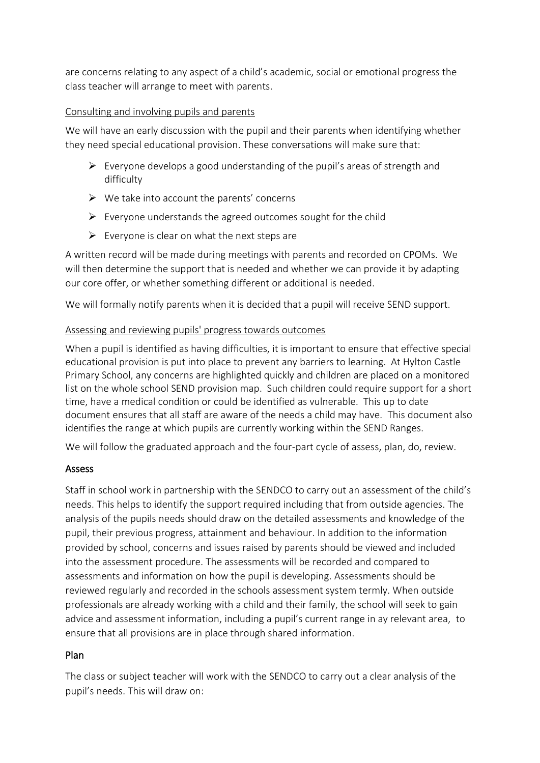are concerns relating to any aspect of a child's academic, social or emotional progress the class teacher will arrange to meet with parents.

# Consulting and involving pupils and parents

We will have an early discussion with the pupil and their parents when identifying whether they need special educational provision. These conversations will make sure that:

- $\triangleright$  Everyone develops a good understanding of the pupil's areas of strength and difficulty
- $\triangleright$  We take into account the parents' concerns
- $\triangleright$  Everyone understands the agreed outcomes sought for the child
- $\triangleright$  Everyone is clear on what the next steps are

A written record will be made during meetings with parents and recorded on CPOMs. We will then determine the support that is needed and whether we can provide it by adapting our core offer, or whether something different or additional is needed.

We will formally notify parents when it is decided that a pupil will receive SEND support.

# Assessing and reviewing pupils' progress towards outcomes

When a pupil is identified as having difficulties, it is important to ensure that effective special educational provision is put into place to prevent any barriers to learning. At Hylton Castle Primary School, any concerns are highlighted quickly and children are placed on a monitored list on the whole school SEND provision map. Such children could require support for a short time, have a medical condition or could be identified as vulnerable. This up to date document ensures that all staff are aware of the needs a child may have. This document also identifies the range at which pupils are currently working within the SEND Ranges.

We will follow the graduated approach and the four-part cycle of assess, plan, do, review.

# Assess

Staff in school work in partnership with the SENDCO to carry out an assessment of the child's needs. This helps to identify the support required including that from outside agencies. The analysis of the pupils needs should draw on the detailed assessments and knowledge of the pupil, their previous progress, attainment and behaviour. In addition to the information provided by school, concerns and issues raised by parents should be viewed and included into the assessment procedure. The assessments will be recorded and compared to assessments and information on how the pupil is developing. Assessments should be reviewed regularly and recorded in the schools assessment system termly. When outside professionals are already working with a child and their family, the school will seek to gain advice and assessment information, including a pupil's current range in ay relevant area, to ensure that all provisions are in place through shared information.

# Plan

The class or subject teacher will work with the SENDCO to carry out a clear analysis of the pupil's needs. This will draw on: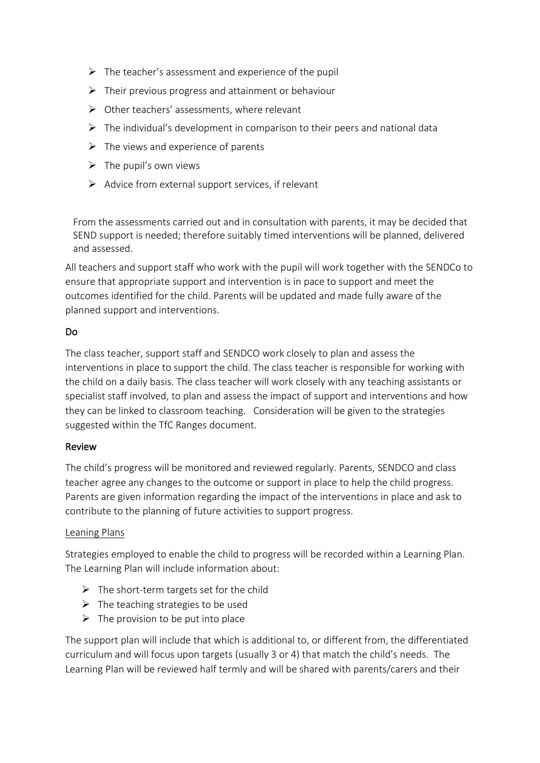- $\triangleright$  The teacher's assessment and experience of the pupil
- $\triangleright$  Their previous progress and attainment or behaviour
- ➢ Other teachers' assessments, where relevant
- $\triangleright$  The individual's development in comparison to their peers and national data
- $\triangleright$  The views and experience of parents
- $\triangleright$  The pupil's own views
- $\triangleright$  Advice from external support services, if relevant

From the assessments carried out and in consultation with parents, it may be decided that SEND support is needed; therefore suitably timed interventions will be planned, delivered and assessed.

All teachers and support staff who work with the pupil will work together with the SENDCo to ensure that appropriate support and intervention is in pace to support and meet the outcomes identified for the child. Parents will be updated and made fully aware of the planned support and interventions.

# Do

The class teacher, support staff and SENDCO work closely to plan and assess the interventions in place to support the child. The class teacher is responsible for working with the child on a daily basis. The class teacher will work closely with any teaching assistants or specialist staff involved, to plan and assess the impact of support and interventions and how they can be linked to classroom teaching. Consideration will be given to the strategies suggested within the TfC Ranges document.

#### Review

The child's progress will be monitored and reviewed regularly. Parents, SENDCO and class teacher agree any changes to the outcome or support in place to help the child progress. Parents are given information regarding the impact of the interventions in place and ask to contribute to the planning of future activities to support progress.

#### Leaning Plans

Strategies employed to enable the child to progress will be recorded within a Learning Plan. The Learning Plan will include information about:

- $\triangleright$  The short-term targets set for the child
- $\triangleright$  The teaching strategies to be used
- $\triangleright$  The provision to be put into place

The support plan will include that which is additional to, or different from, the differentiated curriculum and will focus upon targets (usually 3 or 4) that match the child's needs. The Learning Plan will be reviewed half termly and will be shared with parents/carers and their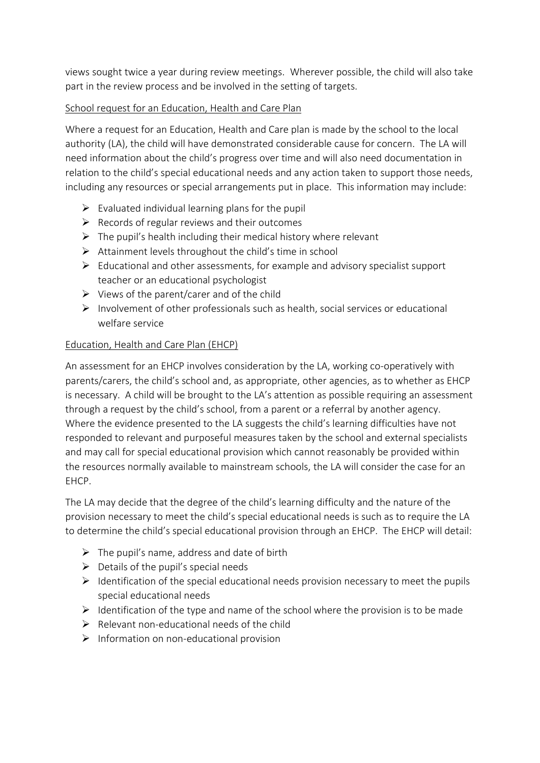views sought twice a year during review meetings. Wherever possible, the child will also take part in the review process and be involved in the setting of targets.

### School request for an Education, Health and Care Plan

Where a request for an Education, Health and Care plan is made by the school to the local authority (LA), the child will have demonstrated considerable cause for concern. The LA will need information about the child's progress over time and will also need documentation in relation to the child's special educational needs and any action taken to support those needs, including any resources or special arrangements put in place. This information may include:

- $\triangleright$  Evaluated individual learning plans for the pupil
- $\triangleright$  Records of regular reviews and their outcomes
- $\triangleright$  The pupil's health including their medical history where relevant
- $\triangleright$  Attainment levels throughout the child's time in school
- ➢ Educational and other assessments, for example and advisory specialist support teacher or an educational psychologist
- $\triangleright$  Views of the parent/carer and of the child
- $\triangleright$  Involvement of other professionals such as health, social services or educational welfare service

# Education, Health and Care Plan (EHCP)

An assessment for an EHCP involves consideration by the LA, working co-operatively with parents/carers, the child's school and, as appropriate, other agencies, as to whether as EHCP is necessary. A child will be brought to the LA's attention as possible requiring an assessment through a request by the child's school, from a parent or a referral by another agency. Where the evidence presented to the LA suggests the child's learning difficulties have not responded to relevant and purposeful measures taken by the school and external specialists and may call for special educational provision which cannot reasonably be provided within the resources normally available to mainstream schools, the LA will consider the case for an EHCP.

The LA may decide that the degree of the child's learning difficulty and the nature of the provision necessary to meet the child's special educational needs is such as to require the LA to determine the child's special educational provision through an EHCP. The EHCP will detail:

- $\triangleright$  The pupil's name, address and date of birth
- $\triangleright$  Details of the pupil's special needs
- $\triangleright$  Identification of the special educational needs provision necessary to meet the pupils special educational needs
- $\triangleright$  Identification of the type and name of the school where the provision is to be made
- $\triangleright$  Relevant non-educational needs of the child
- $\triangleright$  Information on non-educational provision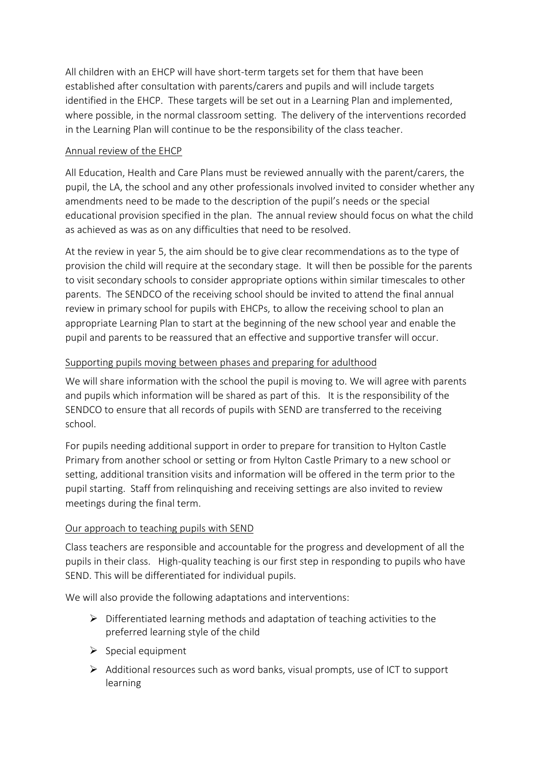All children with an EHCP will have short-term targets set for them that have been established after consultation with parents/carers and pupils and will include targets identified in the EHCP. These targets will be set out in a Learning Plan and implemented, where possible, in the normal classroom setting. The delivery of the interventions recorded in the Learning Plan will continue to be the responsibility of the class teacher.

# Annual review of the EHCP

All Education, Health and Care Plans must be reviewed annually with the parent/carers, the pupil, the LA, the school and any other professionals involved invited to consider whether any amendments need to be made to the description of the pupil's needs or the special educational provision specified in the plan. The annual review should focus on what the child as achieved as was as on any difficulties that need to be resolved.

At the review in year 5, the aim should be to give clear recommendations as to the type of provision the child will require at the secondary stage. It will then be possible for the parents to visit secondary schools to consider appropriate options within similar timescales to other parents. The SENDCO of the receiving school should be invited to attend the final annual review in primary school for pupils with EHCPs, to allow the receiving school to plan an appropriate Learning Plan to start at the beginning of the new school year and enable the pupil and parents to be reassured that an effective and supportive transfer will occur.

# Supporting pupils moving between phases and preparing for adulthood

We will share information with the school the pupil is moving to. We will agree with parents and pupils which information will be shared as part of this. It is the responsibility of the SENDCO to ensure that all records of pupils with SEND are transferred to the receiving school.

For pupils needing additional support in order to prepare for transition to Hylton Castle Primary from another school or setting or from Hylton Castle Primary to a new school or setting, additional transition visits and information will be offered in the term prior to the pupil starting. Staff from relinquishing and receiving settings are also invited to review meetings during the final term.

# Our approach to teaching pupils with SEND

Class teachers are responsible and accountable for the progress and development of all the pupils in their class. High-quality teaching is our first step in responding to pupils who have SEND. This will be differentiated for individual pupils.

We will also provide the following adaptations and interventions:

- ➢ Differentiated learning methods and adaptation of teaching activities to the preferred learning style of the child
- $\triangleright$  Special equipment
- $\triangleright$  Additional resources such as word banks, visual prompts, use of ICT to support learning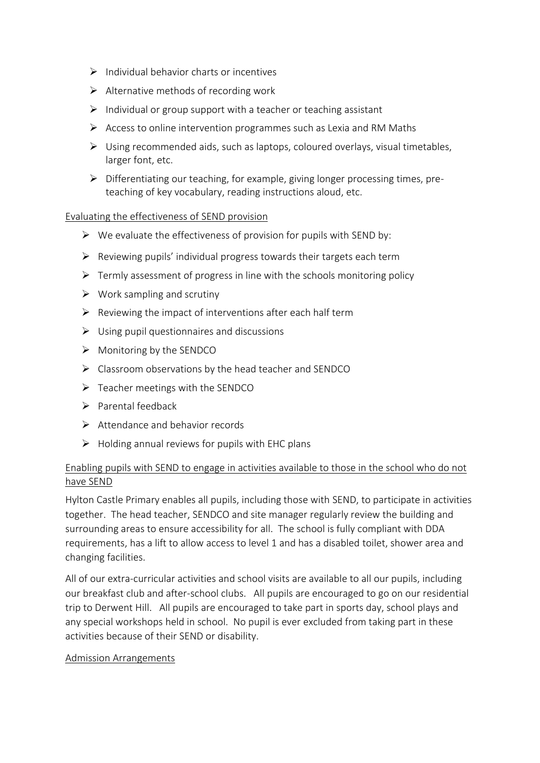- $\triangleright$  Individual behavior charts or incentives
- $\triangleright$  Alternative methods of recording work
- $\triangleright$  Individual or group support with a teacher or teaching assistant
- ➢ Access to online intervention programmes such as Lexia and RM Maths
- $\triangleright$  Using recommended aids, such as laptops, coloured overlays, visual timetables, larger font, etc.
- ➢ Differentiating our teaching, for example, giving longer processing times, preteaching of key vocabulary, reading instructions aloud, etc.

#### Evaluating the effectiveness of SEND provision

- $\triangleright$  We evaluate the effectiveness of provision for pupils with SEND by:
- $\triangleright$  Reviewing pupils' individual progress towards their targets each term
- ➢ Termly assessment of progress in line with the schools monitoring policy
- $\triangleright$  Work sampling and scrutiny
- $\triangleright$  Reviewing the impact of interventions after each half term
- $\triangleright$  Using pupil questionnaires and discussions
- $\triangleright$  Monitoring by the SENDCO
- ➢ Classroom observations by the head teacher and SENDCO
- ➢ Teacher meetings with the SENDCO
- ➢ Parental feedback
- ➢ Attendance and behavior records
- $\triangleright$  Holding annual reviews for pupils with EHC plans

#### Enabling pupils with SEND to engage in activities available to those in the school who do not have SEND

Hylton Castle Primary enables all pupils, including those with SEND, to participate in activities together. The head teacher, SENDCO and site manager regularly review the building and surrounding areas to ensure accessibility for all. The school is fully compliant with DDA requirements, has a lift to allow access to level 1 and has a disabled toilet, shower area and changing facilities.

All of our extra-curricular activities and school visits are available to all our pupils, including our breakfast club and after-school clubs. All pupils are encouraged to go on our residential trip to Derwent Hill. All pupils are encouraged to take part in sports day, school plays and any special workshops held in school. No pupil is ever excluded from taking part in these activities because of their SEND or disability.

#### Admission Arrangements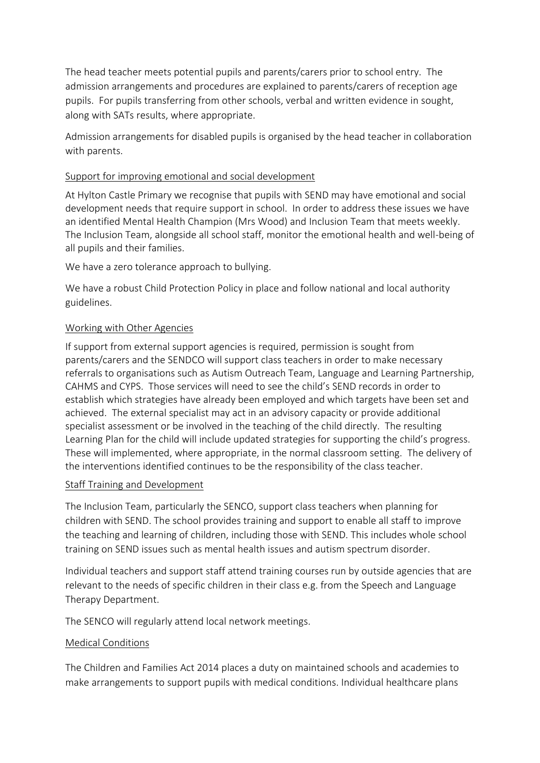The head teacher meets potential pupils and parents/carers prior to school entry. The admission arrangements and procedures are explained to parents/carers of reception age pupils. For pupils transferring from other schools, verbal and written evidence in sought, along with SATs results, where appropriate.

Admission arrangements for disabled pupils is organised by the head teacher in collaboration with parents.

#### Support for improving emotional and social development

At Hylton Castle Primary we recognise that pupils with SEND may have emotional and social development needs that require support in school. In order to address these issues we have an identified Mental Health Champion (Mrs Wood) and Inclusion Team that meets weekly. The Inclusion Team, alongside all school staff, monitor the emotional health and well-being of all pupils and their families.

We have a zero tolerance approach to bullying.

We have a robust Child Protection Policy in place and follow national and local authority guidelines.

#### Working with Other Agencies

If support from external support agencies is required, permission is sought from parents/carers and the SENDCO will support class teachers in order to make necessary referrals to organisations such as Autism Outreach Team, Language and Learning Partnership, CAHMS and CYPS. Those services will need to see the child's SEND records in order to establish which strategies have already been employed and which targets have been set and achieved. The external specialist may act in an advisory capacity or provide additional specialist assessment or be involved in the teaching of the child directly. The resulting Learning Plan for the child will include updated strategies for supporting the child's progress. These will implemented, where appropriate, in the normal classroom setting. The delivery of the interventions identified continues to be the responsibility of the class teacher.

#### Staff Training and Development

The Inclusion Team, particularly the SENCO, support class teachers when planning for children with SEND. The school provides training and support to enable all staff to improve the teaching and learning of children, including those with SEND. This includes whole school training on SEND issues such as mental health issues and autism spectrum disorder.

Individual teachers and support staff attend training courses run by outside agencies that are relevant to the needs of specific children in their class e.g. from the Speech and Language Therapy Department.

The SENCO will regularly attend local network meetings.

#### Medical Conditions

The Children and Families Act 2014 places a duty on maintained schools and academies to make arrangements to support pupils with medical conditions. Individual healthcare plans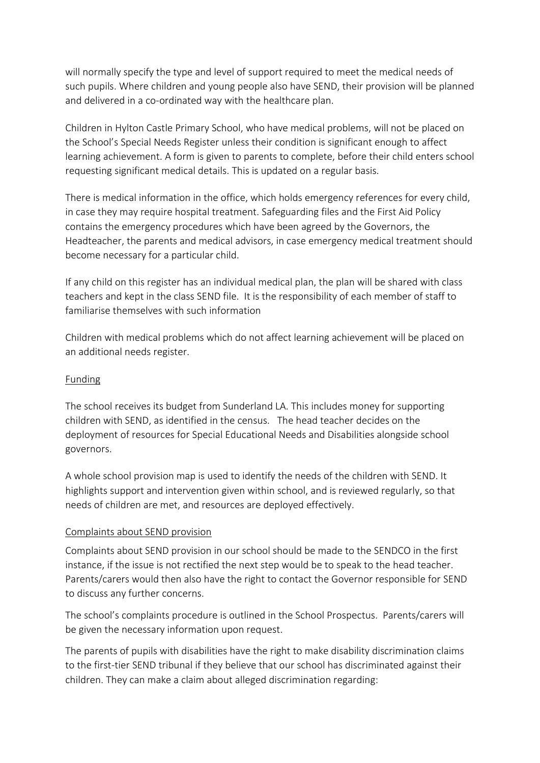will normally specify the type and level of support required to meet the medical needs of such pupils. Where children and young people also have SEND, their provision will be planned and delivered in a co-ordinated way with the healthcare plan.

Children in Hylton Castle Primary School, who have medical problems, will not be placed on the School's Special Needs Register unless their condition is significant enough to affect learning achievement. A form is given to parents to complete, before their child enters school requesting significant medical details. This is updated on a regular basis.

There is medical information in the office, which holds emergency references for every child, in case they may require hospital treatment. Safeguarding files and the First Aid Policy contains the emergency procedures which have been agreed by the Governors, the Headteacher, the parents and medical advisors, in case emergency medical treatment should become necessary for a particular child.

If any child on this register has an individual medical plan, the plan will be shared with class teachers and kept in the class SEND file. It is the responsibility of each member of staff to familiarise themselves with such information

Children with medical problems which do not affect learning achievement will be placed on an additional needs register.

# Funding

The school receives its budget from Sunderland LA. This includes money for supporting children with SEND, as identified in the census. The head teacher decides on the deployment of resources for Special Educational Needs and Disabilities alongside school governors.

A whole school provision map is used to identify the needs of the children with SEND. It highlights support and intervention given within school, and is reviewed regularly, so that needs of children are met, and resources are deployed effectively.

#### Complaints about SEND provision

Complaints about SEND provision in our school should be made to the SENDCO in the first instance, if the issue is not rectified the next step would be to speak to the head teacher. Parents/carers would then also have the right to contact the Governor responsible for SEND to discuss any further concerns.

The school's complaints procedure is outlined in the School Prospectus. Parents/carers will be given the necessary information upon request.

The parents of pupils with disabilities have the right to make disability discrimination claims to the first-tier SEND tribunal if they believe that our school has discriminated against their children. They can make a claim about alleged discrimination regarding: